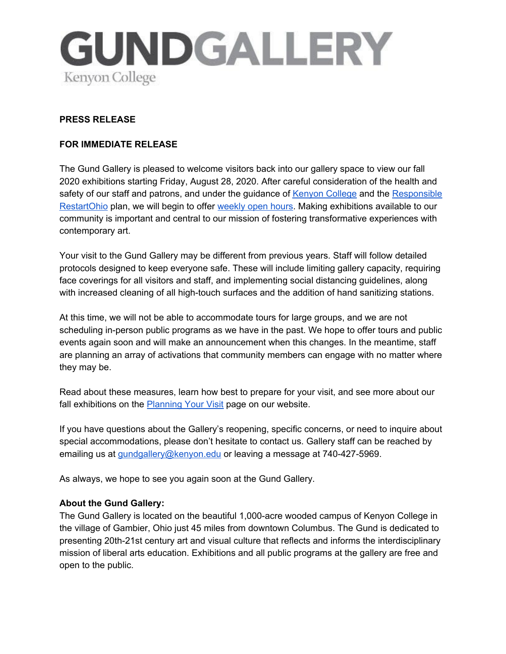

## **PRESS RELEASE**

## **FOR IMMEDIATE RELEASE**

The Gund Gallery is pleased to welcome visitors back into our gallery space to view our fall 2020 exhibitions starting Friday, August 28, 2020. After careful consideration of the health and safety of our staff and patrons, and under the guidance of [Kenyon](https://www.kenyon.edu/return/) College and the [Responsible](https://coronavirus.ohio.gov/wps/portal/gov/covid-19/responsible-restart-ohio/) [RestartOhio](https://coronavirus.ohio.gov/wps/portal/gov/covid-19/responsible-restart-ohio/) plan, we will begin to offer [weekly](http://www.thegundgallery.org/visit-2/hours/) open hours. Making exhibitions available to our community is important and central to our mission of fostering transformative experiences with contemporary art.

Your visit to the Gund Gallery may be different from previous years. Staff will follow detailed protocols designed to keep everyone safe. These will include limiting gallery capacity, requiring face coverings for all visitors and staff, and implementing social distancing guidelines, along with increased cleaning of all high-touch surfaces and the addition of hand sanitizing stations.

At this time, we will not be able to accommodate tours for large groups, and we are not scheduling in-person public programs as we have in the past. We hope to offer tours and public events again soon and will make an announcement when this changes. In the meantime, staff are planning an array of activations that community members can engage with no matter where they may be.

Read about these measures, learn how best to prepare for your visit, and see more about our fall exhibitions on the **[Planning](http://www.thegundgallery.org/visit-2/) Your Visit page on our website.** 

If you have questions about the Gallery's reopening, specific concerns, or need to inquire about special accommodations, please don't hesitate to contact us. Gallery staff can be reached by emailing us at *[gundgallery@kenyon.edu](mailto:gundgallery@kenyon.edu)* or leaving a message at 740-427-5969.

As always, we hope to see you again soon at the Gund Gallery.

## **About the Gund Gallery:**

The Gund Gallery is located on the beautiful 1,000-acre wooded campus of Kenyon College in the village of Gambier, Ohio just 45 miles from downtown Columbus. The Gund is dedicated to presenting 20th-21st century art and visual culture that reflects and informs the interdisciplinary mission of liberal arts education. Exhibitions and all public programs at the gallery are free and open to the public.